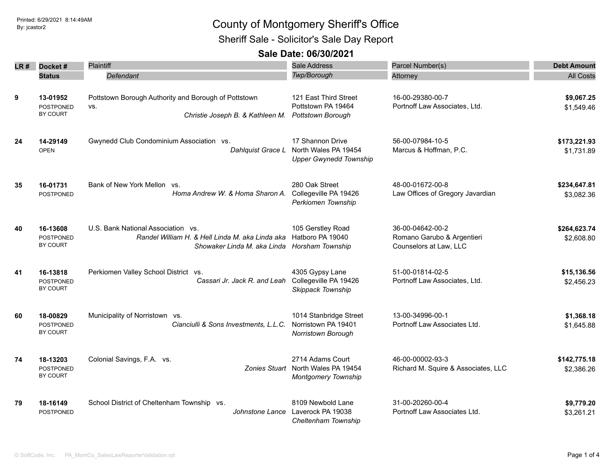## Printed: 6/29/2021 8:14:49AM By: jcastor2 County of Montgomery Sheriff's Office Sheriff Sale - Solicitor's Sale Day Report

### **Sale Date: 06/30/2021**

|      |                              | Plaintiff                                                                      | Sale Address                                          | Parcel Number(s)                                     |                          |
|------|------------------------------|--------------------------------------------------------------------------------|-------------------------------------------------------|------------------------------------------------------|--------------------------|
| LR # | Docket#                      |                                                                                | Twp/Borough                                           |                                                      | <b>Debt Amount</b>       |
|      | <b>Status</b>                | <b>Defendant</b>                                                               |                                                       | Attorney                                             | <b>All Costs</b>         |
| 9    | 13-01952<br>POSTPONED        | Pottstown Borough Authority and Borough of Pottstown<br>VS.                    | 121 East Third Street<br>Pottstown PA 19464           | 16-00-29380-00-7<br>Portnoff Law Associates, Ltd.    | \$9,067.25<br>\$1,549.46 |
|      | BY COURT                     | Christie Joseph B. & Kathleen M.                                               | <b>Pottstown Borough</b>                              |                                                      |                          |
| 24   | 14-29149                     | Gwynedd Club Condominium Association vs.                                       | 17 Shannon Drive                                      | 56-00-07984-10-5                                     | \$173,221.93             |
|      | <b>OPEN</b>                  | Dahlquist Grace L                                                              | North Wales PA 19454<br><b>Upper Gwynedd Township</b> | Marcus & Hoffman, P.C.                               | \$1,731.89               |
| 35   | 16-01731                     | Bank of New York Mellon vs.                                                    | 280 Oak Street                                        | 48-00-01672-00-8                                     | \$234,647.81             |
|      | POSTPONED                    | Homa Andrew W. & Homa Sharon A.                                                | Collegeville PA 19426<br>Perkiomen Township           | Law Offices of Gregory Javardian                     | \$3,082.36               |
| 40   | 16-13608                     | U.S. Bank National Association vs.                                             | 105 Gerstley Road                                     | 36-00-04642-00-2                                     | \$264,623.74             |
|      | <b>POSTPONED</b><br>BY COURT | Randel William H. & Hell Linda M. aka Linda aka<br>Showaker Linda M. aka Linda | Hatboro PA 19040<br>Horsham Township                  | Romano Garubo & Argentieri<br>Counselors at Law, LLC | \$2,608.80               |
| 41   | 16-13818                     | Perkiomen Valley School District vs.                                           | 4305 Gypsy Lane                                       | 51-00-01814-02-5                                     | \$15,136.56              |
|      | <b>POSTPONED</b><br>BY COURT | Cassari Jr. Jack R. and Leah                                                   | Collegeville PA 19426<br>Skippack Township            | Portnoff Law Associates, Ltd.                        | \$2,456.23               |
| 60   | 18-00829                     | Municipality of Norristown vs.                                                 | 1014 Stanbridge Street                                | 13-00-34996-00-1                                     | \$1,368.18               |
|      | POSTPONED<br>BY COURT        | Cianciulli & Sons Investments, L.L.C.                                          | Norristown PA 19401<br>Norristown Borough             | Portnoff Law Associates Ltd.                         | \$1,645.88               |
| 74   | 18-13203                     | Colonial Savings, F.A. vs.                                                     | 2714 Adams Court                                      | 46-00-00002-93-3                                     | \$142,775.18             |
|      | <b>POSTPONED</b><br>BY COURT | Zonies Stuart                                                                  | North Wales PA 19454<br>Montgomery Township           | Richard M. Squire & Associates, LLC                  | \$2,386.26               |
| 79   | 18-16149                     | School District of Cheltenham Township vs.                                     | 8109 Newbold Lane                                     | 31-00-20260-00-4                                     | \$9,779.20               |
|      | <b>POSTPONED</b>             | Johnstone Lance                                                                | Laverock PA 19038<br>Cheltenham Township              | Portnoff Law Associates Ltd.                         | \$3,261.21               |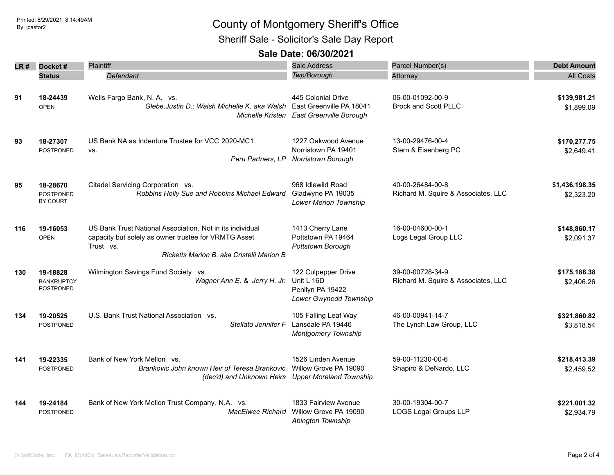## Printed: 6/29/2021 8:14:49AM By: jcastor2 County of Montgomery Sheriff's Office

Sheriff Sale - Solicitor's Sale Day Report

#### **Sale Date: 06/30/2021**

| LR # | Docket#                                           | Plaintiff                                                                                                                                                                   | <b>Sale Address</b>                                                                        | Parcel Number(s)                                        | <b>Debt Amount</b>           |
|------|---------------------------------------------------|-----------------------------------------------------------------------------------------------------------------------------------------------------------------------------|--------------------------------------------------------------------------------------------|---------------------------------------------------------|------------------------------|
|      | <b>Status</b>                                     | Defendant                                                                                                                                                                   | Twp/Borough                                                                                | Attorney                                                | <b>All Costs</b>             |
| 91   | 18-24439<br><b>OPEN</b>                           | Wells Fargo Bank, N. A. vs.<br>Glebe, Justin D.; Walsh Michelle K. aka Walsh                                                                                                | 445 Colonial Drive<br>East Greenville PA 18041<br>Michelle Kristen East Greenville Borough | 06-00-01092-00-9<br><b>Brock and Scott PLLC</b>         | \$139,981.21<br>\$1,899.09   |
| 93   | 18-27307<br>POSTPONED                             | US Bank NA as Indenture Trustee for VCC 2020-MC1<br>VS.<br>Peru Partners, LP                                                                                                | 1227 Oakwood Avenue<br>Norristown PA 19401<br>Norristown Borough                           | 13-00-29476-00-4<br>Stern & Eisenberg PC                | \$170,277.75<br>\$2,649.41   |
| 95   | 18-28670<br><b>POSTPONED</b><br>BY COURT          | Citadel Servicing Corporation vs.<br>Robbins Holly Sue and Robbins Michael Edward                                                                                           | 968 Idlewild Road<br>Gladwyne PA 19035<br><b>Lower Merion Township</b>                     | 40-00-26484-00-8<br>Richard M. Squire & Associates, LLC | \$1,436,198.35<br>\$2,323.20 |
| 116  | 19-16053<br><b>OPEN</b>                           | US Bank Trust National Association, Not in its individual<br>capacity but solely as owner trustee for VRMTG Asset<br>Trust vs.<br>Ricketts Marion B. aka Cristelli Marion B | 1413 Cherry Lane<br>Pottstown PA 19464<br>Pottstown Borough                                | 16-00-04600-00-1<br>Logs Legal Group LLC                | \$148,860.17<br>\$2,091.37   |
| 130  | 19-18828<br><b>BANKRUPTCY</b><br><b>POSTPONED</b> | Wilmington Savings Fund Society vs.<br>Wagner Ann E. & Jerry H. Jr.                                                                                                         | 122 Culpepper Drive<br>Unit L 16D<br>Penllyn PA 19422<br>Lower Gwynedd Township            | 39-00-00728-34-9<br>Richard M. Squire & Associates, LLC | \$175,188.38<br>\$2,406.26   |
| 134  | 19-20525<br><b>POSTPONED</b>                      | U.S. Bank Trust National Association vs.<br>Stellato Jennifer F                                                                                                             | 105 Falling Leaf Way<br>Lansdale PA 19446<br><b>Montgomery Township</b>                    | 46-00-00941-14-7<br>The Lynch Law Group, LLC            | \$321,860.82<br>\$3,818.54   |
| 141  | 19-22335<br>POSTPONED                             | Bank of New York Mellon vs.<br>Brankovic John known Heir of Teresa Brankovic<br>(dec'd) and Unknown Heirs Upper Moreland Township                                           | 1526 Linden Avenue<br>Willow Grove PA 19090                                                | 59-00-11230-00-6<br>Shapiro & DeNardo, LLC              | \$218,413.39<br>\$2,459.52   |
| 144  | 19-24184<br><b>POSTPONED</b>                      | Bank of New York Mellon Trust Company, N.A. vs.<br><b>MacElwee Richard</b>                                                                                                  | 1833 Fairview Avenue<br>Willow Grove PA 19090<br>Abington Township                         | 30-00-19304-00-7<br><b>LOGS Legal Groups LLP</b>        | \$221,001.32<br>\$2,934.79   |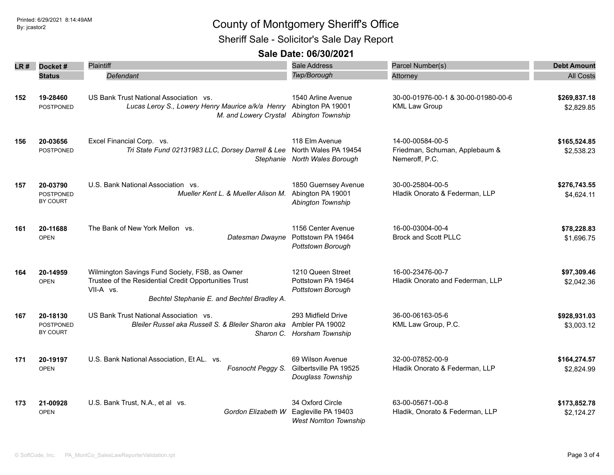# Printed: 6/29/2021 8:14:49AM By: jcastor2 County of Montgomery Sheriff's Office

Sheriff Sale - Solicitor's Sale Day Report

#### **Sale Date: 06/30/2021**

| LR # | Docket#                                  | Plaintiff                                                                                                                                                           | <b>Sale Address</b>                                                      | Parcel Number(s)                                                     | <b>Debt Amount</b>         |
|------|------------------------------------------|---------------------------------------------------------------------------------------------------------------------------------------------------------------------|--------------------------------------------------------------------------|----------------------------------------------------------------------|----------------------------|
|      | <b>Status</b>                            | Defendant                                                                                                                                                           | Twp/Borough                                                              | Attorney                                                             | <b>All Costs</b>           |
| 152  | 19-28460<br><b>POSTPONED</b>             | US Bank Trust National Association vs.<br>Lucas Leroy S., Lowery Henry Maurice a/k/a Henry Abington PA 19001<br>M. and Lowery Crystal Abington Township             | 1540 Arline Avenue                                                       | 30-00-01976-00-1 & 30-00-01980-00-6<br><b>KML Law Group</b>          | \$269,837.18<br>\$2,829.85 |
| 156  | 20-03656<br>POSTPONED                    | Excel Financial Corp. vs.<br>Tri State Fund 02131983 LLC, Dorsey Darrell & Lee North Wales PA 19454                                                                 | 118 Elm Avenue<br>Stephanie North Wales Borough                          | 14-00-00584-00-5<br>Friedman, Schuman, Applebaum &<br>Nemeroff, P.C. | \$165,524.85<br>\$2,538.23 |
| 157  | 20-03790<br><b>POSTPONED</b><br>BY COURT | U.S. Bank National Association vs.<br>Mueller Kent L. & Mueller Alison M.                                                                                           | 1850 Guernsey Avenue<br>Abington PA 19001<br>Abington Township           | 30-00-25804-00-5<br>Hladik Onorato & Federman, LLP                   | \$276,743.55<br>\$4,624.11 |
| 161  | 20-11688<br><b>OPEN</b>                  | The Bank of New York Mellon vs.<br>Datesman Dwayne                                                                                                                  | 1156 Center Avenue<br>Pottstown PA 19464<br>Pottstown Borough            | 16-00-03004-00-4<br><b>Brock and Scott PLLC</b>                      | \$78,228.83<br>\$1,696.75  |
| 164  | 20-14959<br><b>OPEN</b>                  | Wilmington Savings Fund Society, FSB, as Owner<br>Trustee of the Residential Credit Opportunities Trust<br>VII-A vs.<br>Bechtel Stephanie E. and Bechtel Bradley A. | 1210 Queen Street<br>Pottstown PA 19464<br>Pottstown Borough             | 16-00-23476-00-7<br>Hladik Onorato and Federman, LLP                 | \$97,309.46<br>\$2,042.36  |
| 167  | 20-18130<br><b>POSTPONED</b><br>BY COURT | US Bank Trust National Association vs.<br>Bleiler Russel aka Russell S. & Bleiler Sharon aka                                                                        | 293 Midfield Drive<br>Ambler PA 19002<br>Sharon C. Horsham Township      | 36-00-06163-05-6<br>KML Law Group, P.C.                              | \$928,931.03<br>\$3,003.12 |
| 171  | 20-19197<br><b>OPEN</b>                  | U.S. Bank National Association, Et AL. vs.<br>Fosnocht Peggy S.                                                                                                     | 69 Wilson Avenue<br>Gilbertsville PA 19525<br>Douglass Township          | 32-00-07852-00-9<br>Hladik Onorato & Federman, LLP                   | \$164,274.57<br>\$2,824.99 |
| 173  | 21-00928<br><b>OPEN</b>                  | U.S. Bank Trust, N.A., et al vs.<br>Gordon Elizabeth W                                                                                                              | 34 Oxford Circle<br>Eagleville PA 19403<br><b>West Norriton Township</b> | 63-00-05671-00-8<br>Hladik, Onorato & Federman, LLP                  | \$173,852.78<br>\$2,124.27 |